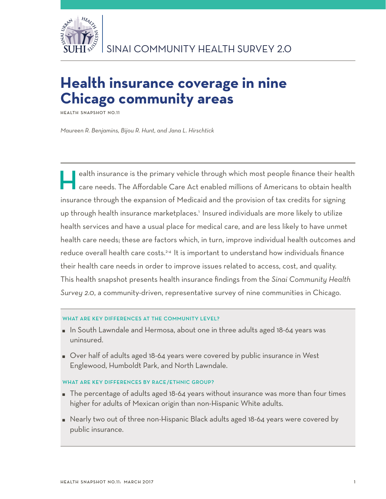

# **Health insurance coverage in nine Chicago community areas**

**Health Snapshot No.11**

*Maureen R. Benjamins, Bijou R. Hunt, and Jana L. Hirschtick*

ealth insurance is the primary vehicle through which most people finance their health care needs. The Affordable Care Act enabled millions of Americans to obtain health insurance through the expansion of Medicaid and the provision of tax credits for signing up through health insurance marketplaces.<sup>1</sup> Insured individuals are more likely to utilize health services and have a usual place for medical care, and are less likely to have unmet health care needs; these are factors which, in turn, improve individual health outcomes and reduce overall health care costs.<sup>2-4</sup> It is important to understand how individuals finance their health care needs in order to improve issues related to access, cost, and quality. This health snapshot presents health insurance findings from the *Sinai Community Health Survey 2.0*, a community-driven, representative survey of nine communities in Chicago.

### WHAT ARE KEY DIFFERENCES AT THE COMMUNITY LEVEL?

- In South Lawndale and Hermosa, about one in three adults aged 18-64 years was uninsured.
- Over half of adults aged 18-64 years were covered by public insurance in West Englewood, Humboldt Park, and North Lawndale.

## WHAT ARE KEY DIFFERENCES BY RACE/ETHNIC GROUP?

- The percentage of adults aged 18-64 years without insurance was more than four times higher for adults of Mexican origin than non-Hispanic White adults.
- Nearly two out of three non-Hispanic Black adults aged 18-64 years were covered by public insurance.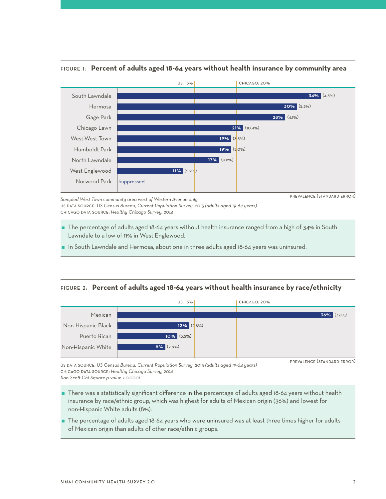

## Figure 1: **Percent of adults aged 18-64 years without health insurance by community area**

prevalence (standard error)

*Sampled West Town community area west of Western Avenue only* us data source: *US Census Bureau, Current Population Survey, 2015 (adults aged 19-64 years)* chicago data source: *Healthy Chicago Survey, 2014* 

- The percentage of adults aged 18-64 years without health insurance ranged from a high of 34% in South Lawndale to a low of 11% in West Englewood.
- In South Lawndale and Hermosa, about one in three adults aged 18-64 years was uninsured.

## Figure 2: **Percent of adults aged 18-64 years without health insurance by race/ethnicity**



us data source: *US Census Bureau, Current Population Survey, 2015 (adults aged 19-64 years)* chicago data source: *Healthy Chicago Survey, 2014*

*Rao-Scott Chi-Square p-value < 0.0001*

- There was a statistically significant difference in the percentage of adults aged 18-64 years without health insurance by race/ethnic group, which was highest for adults of Mexican origin (36%) and lowest for non-Hispanic White adults (8%).
- The percentage of adults aged 18-64 years who were uninsured was at least three times higher for adults of Mexican origin than adults of other race/ethnic groups.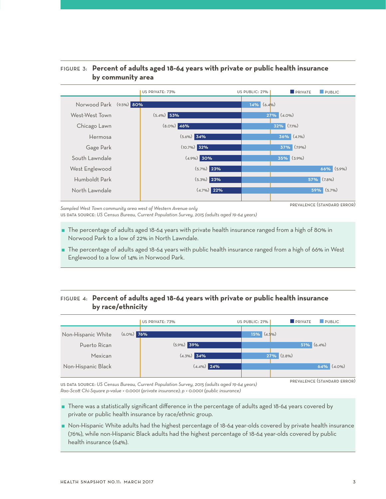## Figure 3: **Percent of adults aged 18-64 years with private or public health insurance by community area**



*Sampled West Town community area west of Western Avenue only*

us data source: *US Census Bureau, Current Population Survey, 2015 (adults aged 19-64 years)*

- The percentage of adults aged 18-64 years with private health insurance ranged from a high of 80% in Norwood Park to a low of 22% in North Lawndale.
- The percentage of adults aged 18-64 years with public health insurance ranged from a high of 66% in West Englewood to a low of 14% in Norwood Park.

# Figure 4: **Percent of adults aged 18-64 years with private or public health insurance by race/ethnicity**

|                    |               | US PRIVATE: 73% |  | US PUBLIC: 21%   | <b>DRIVATE</b> | <b>PUBLIC</b>    |
|--------------------|---------------|-----------------|--|------------------|----------------|------------------|
| Non-Hispanic White | $(6.0\%)$ 76% |                 |  | $15\%$ $(4.5\%)$ |                |                  |
| Puerto Rican       |               | $(5.9\%)$ 39%   |  |                  |                | $51\%$ (6.4%)    |
| Mexican            |               | $(4.3\%)$ 34%   |  |                  | $27\%$ (2.8%)  |                  |
| Non-Hispanic Black |               | $(4.4\%)$ 24%   |  |                  |                | $64\%$ $(4.0\%)$ |
|                    |               |                 |  |                  |                |                  |

us data source: *US Census Bureau, Current Population Survey, 2015 (adults aged 19-64 years) Rao-Scott Chi-Square p-value < 0.0001 (private insurance); p < 0.0001 (public insurance)*

prevalence (standard error)

- There was a statistically significant difference in the percentage of adults aged 18-64 years covered by private or public health insurance by race/ethnic group.
- Non-Hispanic White adults had the highest percentage of 18-64 year-olds covered by private health insurance (76%), while non-Hispanic Black adults had the highest percentage of 18-64 year-olds covered by public health insurance (64%).